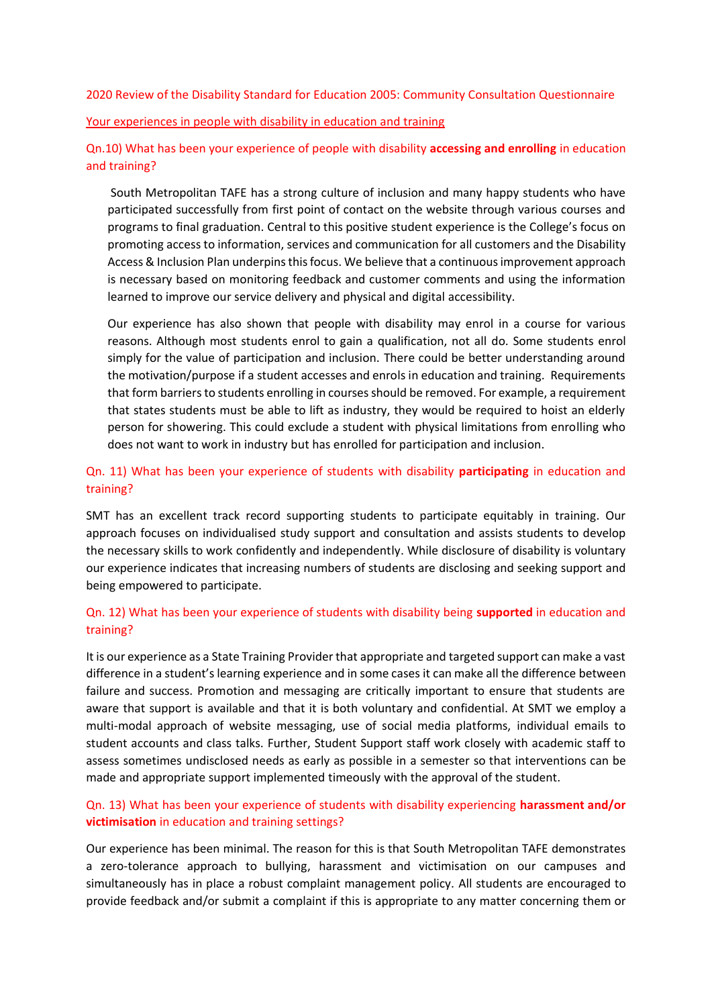2020 Review of the Disability Standard for Education 2005: Community Consultation Questionnaire

#### Your experiences in people with disability in education and training

Qn.10) What has been your experience of people with disability **accessing and enrolling** in education and training?

South Metropolitan TAFE has a strong culture of inclusion and many happy students who have participated successfully from first point of contact on the website through various courses and programs to final graduation. Central to this positive student experience is the College's focus on promoting access to information, services and communication for all customers and the Disability Access & Inclusion Plan underpins this focus. We believe that a continuous improvement approach is necessary based on monitoring feedback and customer comments and using the information learned to improve our service delivery and physical and digital accessibility.

Our experience has also shown that people with disability may enrol in a course for various reasons. Although most students enrol to gain a qualification, not all do. Some students enrol simply for the value of participation and inclusion. There could be better understanding around the motivation/purpose if a student accesses and enrols in education and training. Requirements that form barriers to students enrolling in courses should be removed. For example, a requirement that states students must be able to lift as industry, they would be required to hoist an elderly person for showering. This could exclude a student with physical limitations from enrolling who does not want to work in industry but has enrolled for participation and inclusion.

#### Qn. 11) What has been your experience of students with disability **participating** in education and training?

SMT has an excellent track record supporting students to participate equitably in training. Our approach focuses on individualised study support and consultation and assists students to develop the necessary skills to work confidently and independently. While disclosure of disability is voluntary our experience indicates that increasing numbers of students are disclosing and seeking support and being empowered to participate.

#### Qn. 12) What has been your experience of students with disability being **supported** in education and training?

It is our experience as a State Training Provider that appropriate and targeted support can make a vast difference in a student's learning experience and in some cases it can make all the difference between failure and success. Promotion and messaging are critically important to ensure that students are aware that support is available and that it is both voluntary and confidential. At SMT we employ a multi-modal approach of website messaging, use of social media platforms, individual emails to student accounts and class talks. Further, Student Support staff work closely with academic staff to assess sometimes undisclosed needs as early as possible in a semester so that interventions can be made and appropriate support implemented timeously with the approval of the student.

## Qn. 13) What has been your experience of students with disability experiencing **harassment and/or victimisation** in education and training settings?

Our experience has been minimal. The reason for this is that South Metropolitan TAFE demonstrates a zero-tolerance approach to bullying, harassment and victimisation on our campuses and simultaneously has in place a robust complaint management policy. All students are encouraged to provide feedback and/or submit a complaint if this is appropriate to any matter concerning them or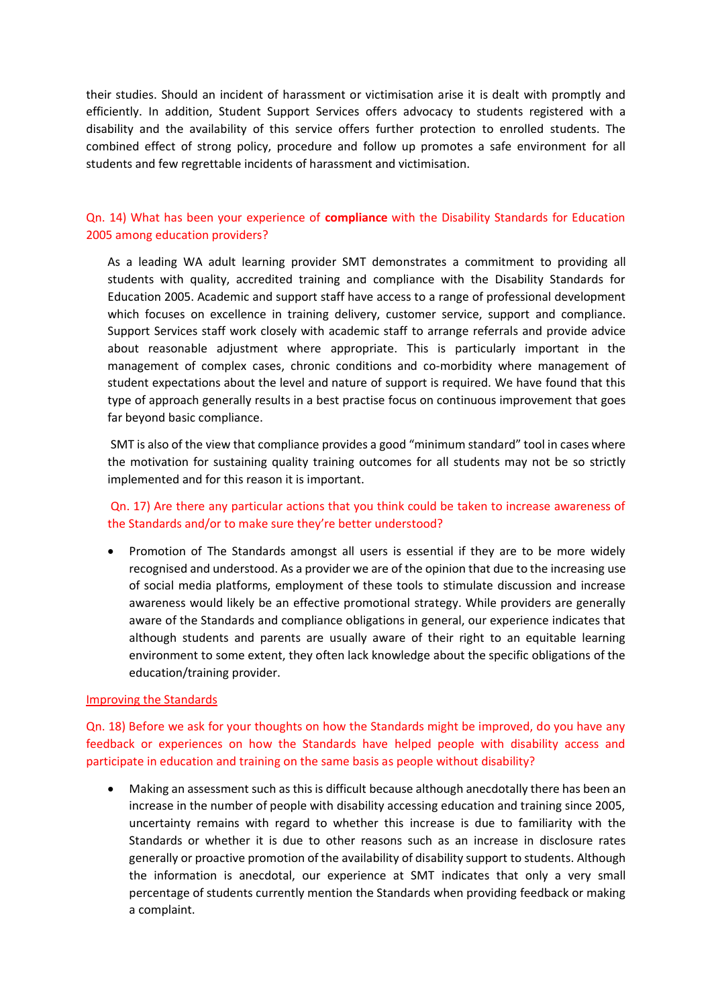their studies. Should an incident of harassment or victimisation arise it is dealt with promptly and efficiently. In addition, Student Support Services offers advocacy to students registered with a disability and the availability of this service offers further protection to enrolled students. The combined effect of strong policy, procedure and follow up promotes a safe environment for all students and few regrettable incidents of harassment and victimisation.

## Qn. 14) What has been your experience of **compliance** with the Disability Standards for Education 2005 among education providers?

As a leading WA adult learning provider SMT demonstrates a commitment to providing all students with quality, accredited training and compliance with the Disability Standards for Education 2005. Academic and support staff have access to a range of professional development which focuses on excellence in training delivery, customer service, support and compliance. Support Services staff work closely with academic staff to arrange referrals and provide advice about reasonable adjustment where appropriate. This is particularly important in the management of complex cases, chronic conditions and co-morbidity where management of student expectations about the level and nature of support is required. We have found that this type of approach generally results in a best practise focus on continuous improvement that goes far beyond basic compliance.

SMT is also of the view that compliance provides a good "minimum standard" tool in cases where the motivation for sustaining quality training outcomes for all students may not be so strictly implemented and for this reason it is important.

## Qn. 17) Are there any particular actions that you think could be taken to increase awareness of the Standards and/or to make sure they're better understood?

• Promotion of The Standards amongst all users is essential if they are to be more widely recognised and understood. As a provider we are of the opinion that due to the increasing use of social media platforms, employment of these tools to stimulate discussion and increase awareness would likely be an effective promotional strategy. While providers are generally aware of the Standards and compliance obligations in general, our experience indicates that although students and parents are usually aware of their right to an equitable learning environment to some extent, they often lack knowledge about the specific obligations of the education/training provider.

#### Improving the Standards

Qn. 18) Before we ask for your thoughts on how the Standards might be improved, do you have any feedback or experiences on how the Standards have helped people with disability access and participate in education and training on the same basis as people without disability?

• Making an assessment such as this is difficult because although anecdotally there has been an increase in the number of people with disability accessing education and training since 2005, uncertainty remains with regard to whether this increase is due to familiarity with the Standards or whether it is due to other reasons such as an increase in disclosure rates generally or proactive promotion of the availability of disability support to students. Although the information is anecdotal, our experience at SMT indicates that only a very small percentage of students currently mention the Standards when providing feedback or making a complaint.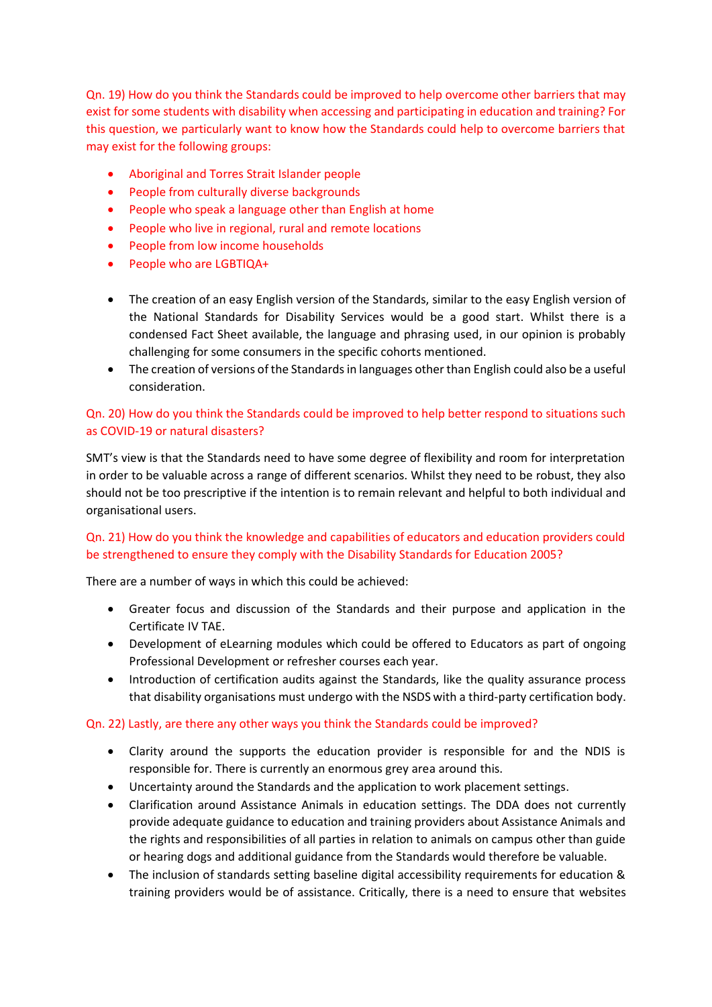Qn. 19) How do you think the Standards could be improved to help overcome other barriers that may exist for some students with disability when accessing and participating in education and training? For this question, we particularly want to know how the Standards could help to overcome barriers that may exist for the following groups:

- Aboriginal and Torres Strait Islander people
- People from culturally diverse backgrounds
- People who speak a language other than English at home
- People who live in regional, rural and remote locations
- People from low income households
- People who are LGBTIQA+
- The creation of an easy English version of the Standards, similar to the easy English version of the National Standards for Disability Services would be a good start. Whilst there is a condensed Fact Sheet available, the language and phrasing used, in our opinion is probably challenging for some consumers in the specific cohorts mentioned.
- The creation of versions of the Standards in languages other than English could also be a useful consideration.

# Qn. 20) How do you think the Standards could be improved to help better respond to situations such as COVID-19 or natural disasters?

SMT's view is that the Standards need to have some degree of flexibility and room for interpretation in order to be valuable across a range of different scenarios. Whilst they need to be robust, they also should not be too prescriptive if the intention is to remain relevant and helpful to both individual and organisational users.

# Qn. 21) How do you think the knowledge and capabilities of educators and education providers could be strengthened to ensure they comply with the Disability Standards for Education 2005?

There are a number of ways in which this could be achieved:

- Greater focus and discussion of the Standards and their purpose and application in the Certificate IV TAE.
- Development of eLearning modules which could be offered to Educators as part of ongoing Professional Development or refresher courses each year.
- Introduction of certification audits against the Standards, like the quality assurance process that disability organisations must undergo with the NSDS with a third-party certification body.

#### Qn. 22) Lastly, are there any other ways you think the Standards could be improved?

- Clarity around the supports the education provider is responsible for and the NDIS is responsible for. There is currently an enormous grey area around this.
- Uncertainty around the Standards and the application to work placement settings.
- Clarification around Assistance Animals in education settings. The DDA does not currently provide adequate guidance to education and training providers about Assistance Animals and the rights and responsibilities of all parties in relation to animals on campus other than guide or hearing dogs and additional guidance from the Standards would therefore be valuable.
- The inclusion of standards setting baseline digital accessibility requirements for education & training providers would be of assistance. Critically, there is a need to ensure that websites